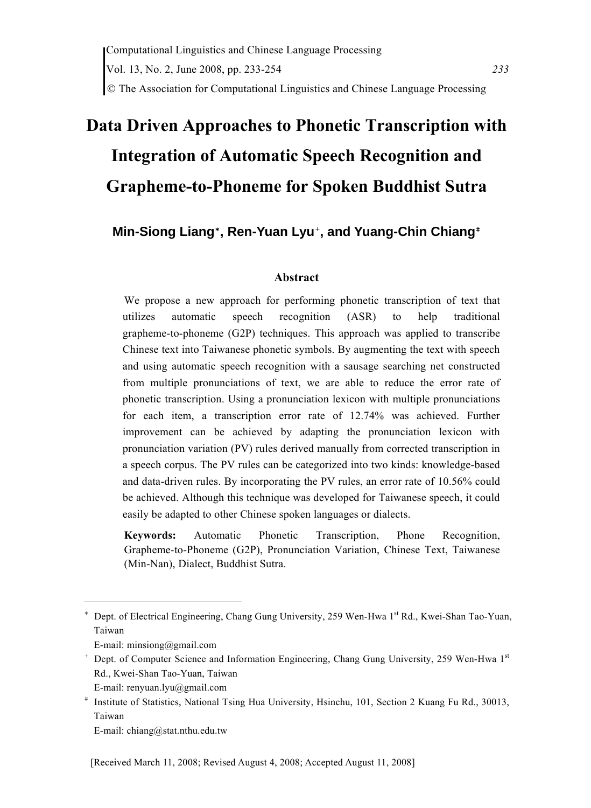# **Data Driven Approaches to Phonetic Transcription with Integration of Automatic Speech Recognition and Grapheme-to-Phoneme for Spoken Buddhist Sutra**

# **Min-Siong Liang**\***, Ren-Yuan Lyu**+**, and Yuang-Chin Chiang**#

#### **Abstract**

We propose a new approach for performing phonetic transcription of text that utilizes automatic speech recognition (ASR) to help traditional grapheme-to-phoneme (G2P) techniques. This approach was applied to transcribe Chinese text into Taiwanese phonetic symbols. By augmenting the text with speech and using automatic speech recognition with a sausage searching net constructed from multiple pronunciations of text, we are able to reduce the error rate of phonetic transcription. Using a pronunciation lexicon with multiple pronunciations for each item, a transcription error rate of 12.74% was achieved. Further improvement can be achieved by adapting the pronunciation lexicon with pronunciation variation (PV) rules derived manually from corrected transcription in a speech corpus. The PV rules can be categorized into two kinds: knowledge-based and data-driven rules. By incorporating the PV rules, an error rate of 10.56% could be achieved. Although this technique was developed for Taiwanese speech, it could easily be adapted to other Chinese spoken languages or dialects.

**Keywords:** Automatic Phonetic Transcription, Phone Recognition, Grapheme-to-Phoneme (G2P), Pronunciation Variation, Chinese Text, Taiwanese (Min-Nan), Dialect, Buddhist Sutra.

<sup>\*</sup> Dept. of Electrical Engineering, Chang Gung University, 259 Wen-Hwa 1st Rd., Kwei-Shan Tao-Yuan, Taiwan

E-mail: minsiong@gmail.com

<sup>+</sup> Dept. of Computer Science and Information Engineering, Chang Gung University, 259 Wen-Hwa 1st Rd., Kwei-Shan Tao-Yuan, Taiwan

E-mail: renyuan.lyu@gmail.com

<sup>#</sup> Institute of Statistics, National Tsing Hua University, Hsinchu, 101, Section 2 Kuang Fu Rd., 30013, Taiwan

E-mail: chiang@stat.nthu.edu.tw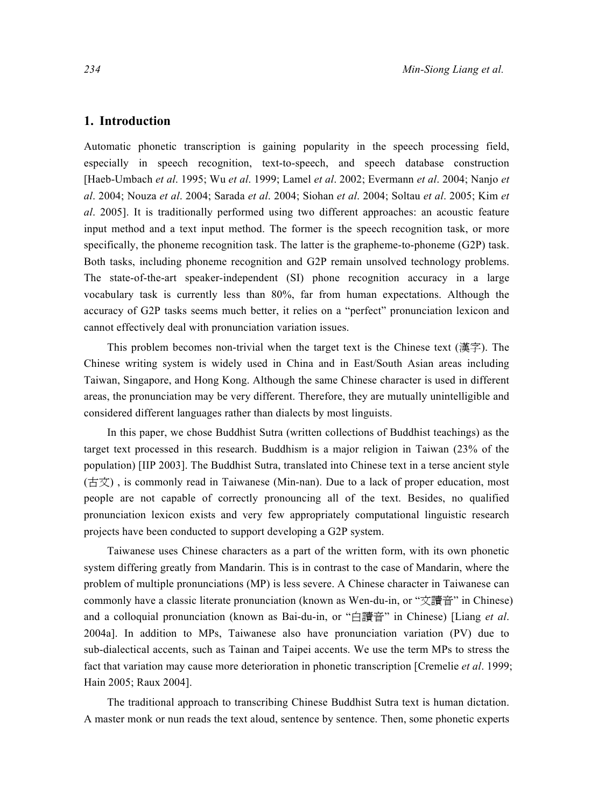# **1. Introduction**

Automatic phonetic transcription is gaining popularity in the speech processing field, especially in speech recognition, text-to-speech, and speech database construction [Haeb-Umbach *et al*. 1995; Wu *et al*. 1999; Lamel *et al*. 2002; Evermann *et al*. 2004; Nanjo *et al*. 2004; Nouza *et al*. 2004; Sarada *et al*. 2004; Siohan *et al*. 2004; Soltau *et al*. 2005; Kim *et al*. 2005]. It is traditionally performed using two different approaches: an acoustic feature input method and a text input method. The former is the speech recognition task, or more specifically, the phoneme recognition task. The latter is the grapheme-to-phoneme (G2P) task. Both tasks, including phoneme recognition and G2P remain unsolved technology problems. The state-of-the-art speaker-independent (SI) phone recognition accuracy in a large vocabulary task is currently less than 80%, far from human expectations. Although the accuracy of G2P tasks seems much better, it relies on a "perfect" pronunciation lexicon and cannot effectively deal with pronunciation variation issues.

This problem becomes non-trivial when the target text is the Chinese text (漢字). The Chinese writing system is widely used in China and in East/South Asian areas including Taiwan, Singapore, and Hong Kong. Although the same Chinese character is used in different areas, the pronunciation may be very different. Therefore, they are mutually unintelligible and considered different languages rather than dialects by most linguists.

In this paper, we chose Buddhist Sutra (written collections of Buddhist teachings) as the target text processed in this research. Buddhism is a major religion in Taiwan (23% of the population) [IIP 2003]. The Buddhist Sutra, translated into Chinese text in a terse ancient style (古文) , is commonly read in Taiwanese (Min-nan). Due to a lack of proper education, most people are not capable of correctly pronouncing all of the text. Besides, no qualified pronunciation lexicon exists and very few appropriately computational linguistic research projects have been conducted to support developing a G2P system.

Taiwanese uses Chinese characters as a part of the written form, with its own phonetic system differing greatly from Mandarin. This is in contrast to the case of Mandarin, where the problem of multiple pronunciations (MP) is less severe. A Chinese character in Taiwanese can commonly have a classic literate pronunciation (known as Wen-du-in, or "文讀音" in Chinese) and a colloquial pronunciation (known as Bai-du-in, or "白讀音" in Chinese) [Liang *et al*. 2004a]. In addition to MPs, Taiwanese also have pronunciation variation (PV) due to sub-dialectical accents, such as Tainan and Taipei accents. We use the term MPs to stress the fact that variation may cause more deterioration in phonetic transcription [Cremelie *et al*. 1999; Hain 2005; Raux 2004].

The traditional approach to transcribing Chinese Buddhist Sutra text is human dictation. A master monk or nun reads the text aloud, sentence by sentence. Then, some phonetic experts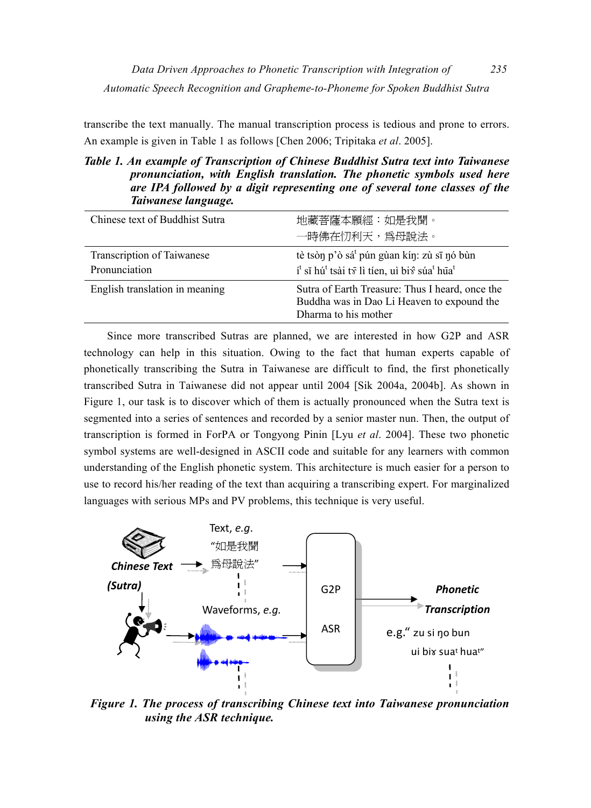transcribe the text manually. The manual transcription process is tedious and prone to errors. An example is given in Table 1 as follows [Chen 2006; Tripitaka *et al*. 2005].

# *Table 1. An example of Transcription of Chinese Buddhist Sutra text into Taiwanese pronunciation, with English translation. The phonetic symbols used here are IPA followed by a digit representing one of several tone classes of the Taiwanese language.*

| Chinese text of Buddhist Sutra              | 地藏菩薩本願經:如是我聞。<br>一時佛在忉利天,爲母說法。                                                                                                                        |
|---------------------------------------------|-------------------------------------------------------------------------------------------------------------------------------------------------------|
| Transcription of Taiwanese<br>Pronunciation | tè tsòn p'ò sá <sup>t</sup> pún gùan kín: zù sī nó bùn<br>í <sup>t</sup> sĩ hú <sup>t</sup> tsài tr lì tien, uì bir súa <sup>t</sup> hūa <sup>t</sup> |
| English translation in meaning              | Sutra of Earth Treasure: Thus I heard, once the<br>Buddha was in Dao Li Heaven to expound the<br>Dharma to his mother                                 |

Since more transcribed Sutras are planned, we are interested in how G2P and ASR technology can help in this situation. Owing to the fact that human experts capable of phonetically transcribing the Sutra in Taiwanese are difficult to find, the first phonetically transcribed Sutra in Taiwanese did not appear until 2004 [Sik 2004a, 2004b]. As shown in Figure 1, our task is to discover which of them is actually pronounced when the Sutra text is segmented into a series of sentences and recorded by a senior master nun. Then, the output of transcription is formed in ForPA or Tongyong Pinin [Lyu *et al*. 2004]. These two phonetic symbol systems are well-designed in ASCII code and suitable for any learners with common understanding of the English phonetic system. This architecture is much easier for a person to use to record his/her reading of the text than acquiring a transcribing expert. For marginalized languages with serious MPs and PV problems, this technique is very useful.



*Figure 1. The process of transcribing Chinese text into Taiwanese pronunciation using the ASR technique.*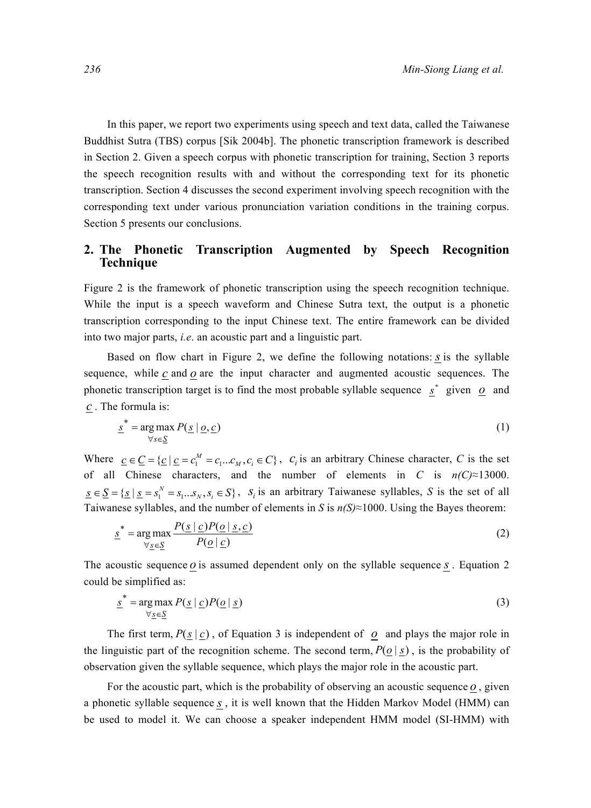In this paper, we report two experiments using speech and text data, called the Taiwanese Buddhist Sutra (TBS) corpus [Sik 2004b]. The phonetic transcription framework is described in Section 2. Given a speech corpus with phonetic transcription for training, Section 3 reports the speech recognition results with and without the corresponding text for its phonetic transcription. Section 4 discusses the second experiment involving speech recognition with the corresponding text under various pronunciation variation conditions in the training corpus. Section 5 presents our conclusions.

# **2. The Phonetic Transcription Augmented by Speech Recognition Technique**

Figure 2 is the framework of phonetic transcription using the speech recognition technique. While the input is a speech waveform and Chinese Sutra text, the output is a phonetic transcription corresponding to the input Chinese text. The entire framework can be divided into two major parts, *i.e*. an acoustic part and a linguistic part.

Based on flow chart in Figure 2, we define the following notations: *s* is the syllable sequence, while  $c$  and  $o$  are the input character and augmented acoustic sequences. The phonetic transcription target is to find the most probable syllable sequence  $s^*$  given  $\overline{\omega}$  and *c* . The formula is:

$$
\underline{s}^* = \underset{\forall s \in \underline{S}}{\arg \max} \, P(\underline{s} \mid \underline{o}, \underline{c}) \tag{1}
$$

Where  $\underline{c} \in \underline{C} = {\underline{c} \mid \underline{c} = c_1^M = c_1...c_M, c_i \in C}$ ,  $c_i$  is an arbitrary Chinese character, *C* is the set of all Chinese characters, and the number of elements in *C* is  $n(C) \approx 13000$ .  $\underline{s} \in \underline{S} = \{ \underline{s} \mid \underline{s} = s_1^N = s_1...s_N, s_i \in S \}$ ,  $S_i$  is an arbitrary Taiwanese syllables, *S* is the set of all Taiwanese syllables, and the number of elements in *S* is  $n(S) \approx 1000$ . Using the Bayes theorem:

$$
\underline{s}^* = \underset{\forall \underline{s} \in \underline{S}}{\arg \max} \frac{P(\underline{s} \mid \underline{c}) P(\underline{o} \mid \underline{s}, \underline{c})}{P(\underline{o} \mid \underline{c})}
$$
(2)

The acoustic sequence *o* is assumed dependent only on the syllable sequence *s* . Equation 2 could be simplified as:

$$
\underline{s}^* = \underset{\forall \underline{s} \in \underline{S}}{\arg \max} P(\underline{s} \mid \underline{c}) P(\underline{o} \mid \underline{s}) \tag{3}
$$

The first term,  $P(s | c)$ , of Equation 3 is independent of *o* and plays the major role in the linguistic part of the recognition scheme. The second term,  $P(\underline{o} | \underline{s})$ , is the probability of observation given the syllable sequence, which plays the major role in the acoustic part.

For the acoustic part, which is the probability of observing an acoustic sequence  $o$ , given a phonetic syllable sequence *s* , it is well known that the Hidden Markov Model (HMM) can be used to model it. We can choose a speaker independent HMM model (SI-HMM) with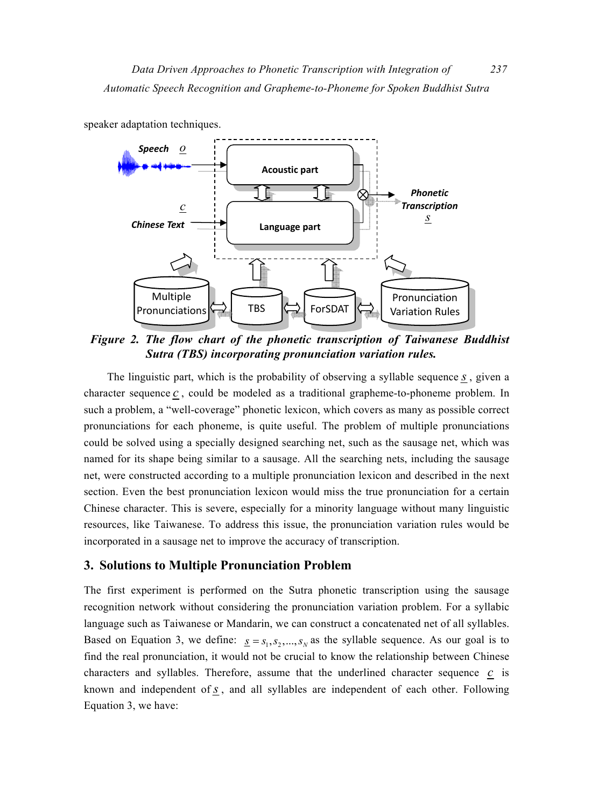

speaker adaptation techniques.

*Figure 2. The flow chart of the phonetic transcription of Taiwanese Buddhist Sutra (TBS) incorporating pronunciation variation rules.* 

The linguistic part, which is the probability of observing a syllable sequence *s* , given a character sequence *c* , could be modeled as a traditional grapheme-to-phoneme problem. In such a problem, a "well-coverage" phonetic lexicon, which covers as many as possible correct pronunciations for each phoneme, is quite useful. The problem of multiple pronunciations could be solved using a specially designed searching net, such as the sausage net, which was named for its shape being similar to a sausage. All the searching nets, including the sausage net, were constructed according to a multiple pronunciation lexicon and described in the next section. Even the best pronunciation lexicon would miss the true pronunciation for a certain Chinese character. This is severe, especially for a minority language without many linguistic resources, like Taiwanese. To address this issue, the pronunciation variation rules would be incorporated in a sausage net to improve the accuracy of transcription.

#### **3. Solutions to Multiple Pronunciation Problem**

The first experiment is performed on the Sutra phonetic transcription using the sausage recognition network without considering the pronunciation variation problem. For a syllabic language such as Taiwanese or Mandarin, we can construct a concatenated net of all syllables. Based on Equation 3, we define:  $\underline{s} = s_1, s_2, ..., s_N$  as the syllable sequence. As our goal is to find the real pronunciation, it would not be crucial to know the relationship between Chinese characters and syllables. Therefore, assume that the underlined character sequence *c* is known and independent of *s* , and all syllables are independent of each other. Following Equation 3, we have: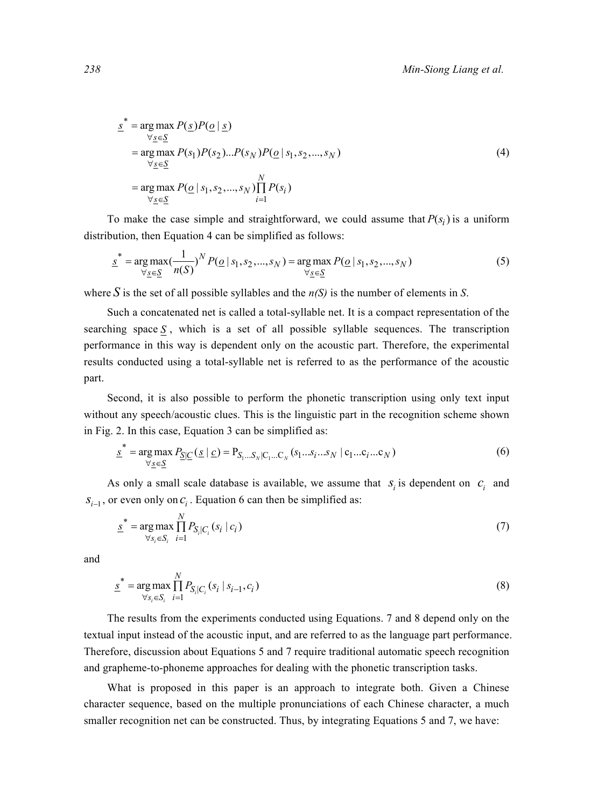$$
\underline{s}^* = \underset{\forall \underline{s} \in \underline{S}}{\arg \max} P(\underline{s}) P(\underline{o} | \underline{s})
$$
\n
$$
= \underset{\forall \underline{s} \in \underline{S}}{\arg \max} P(s_1) P(s_2) \dots P(s_N) P(\underline{o} | s_1, s_2, \dots, s_N)
$$
\n
$$
= \underset{\forall \underline{s} \in \underline{S}}{\arg \max} P(\underline{o} | s_1, s_2, \dots, s_N) \prod_{i=1}^N P(s_i)
$$
\n(4)

To make the case simple and straightforward, we could assume that  $P(s_i)$  is a uniform distribution, then Equation 4 can be simplified as follows:

$$
\underline{s}^* = \underset{\forall \underline{s} \in \underline{S}}{\arg \max} (\frac{1}{n(S)})^N P(\underline{o} \mid s_1, s_2, ..., s_N) = \underset{\forall \underline{s} \in \underline{S}}{\arg \max} P(\underline{o} \mid s_1, s_2, ..., s_N)
$$
(5)

where *S* is the set of all possible syllables and the  $n(S)$  is the number of elements in *S*.

Such a concatenated net is called a total-syllable net. It is a compact representation of the searching space  $S$ , which is a set of all possible syllable sequences. The transcription performance in this way is dependent only on the acoustic part. Therefore, the experimental results conducted using a total-syllable net is referred to as the performance of the acoustic part.

Second, it is also possible to perform the phonetic transcription using only text input without any speech/acoustic clues. This is the linguistic part in the recognition scheme shown in Fig. 2. In this case, Equation 3 can be simplified as:

$$
\underline{s}^* = \underset{\forall \underline{s} \in \underline{S}}{\arg \max} P_{\underline{S} | \underline{C}} (\underline{s} | \underline{c}) = P_{S_1 \dots S_N | C_1 \dots C_N} (s_1 \dots s_i \dots s_N | c_1 \dots c_i \dots c_N)
$$
(6)

As only a small scale database is available, we assume that  $S_i$  is dependent on  $C_i$  and  $S_{i-1}$ , or even only on  $C_i$ . Equation 6 can then be simplified as:

$$
\underline{s}^* = \underset{\forall s_i \in S_i}{\arg \max} \prod_{i=1}^N P_{S_i|C_i}(s_i | c_i)
$$
\n(7)

and

$$
\underline{s}^* = \underset{\forall s_i \in S_i}{\arg \max} \prod_{i=1}^N P_{S_i|C_i}(s_i \mid s_{i-1}, c_i)
$$
\n(8)

The results from the experiments conducted using Equations. 7 and 8 depend only on the textual input instead of the acoustic input, and are referred to as the language part performance. Therefore, discussion about Equations 5 and 7 require traditional automatic speech recognition and grapheme-to-phoneme approaches for dealing with the phonetic transcription tasks.

What is proposed in this paper is an approach to integrate both. Given a Chinese character sequence, based on the multiple pronunciations of each Chinese character, a much smaller recognition net can be constructed. Thus, by integrating Equations 5 and 7, we have: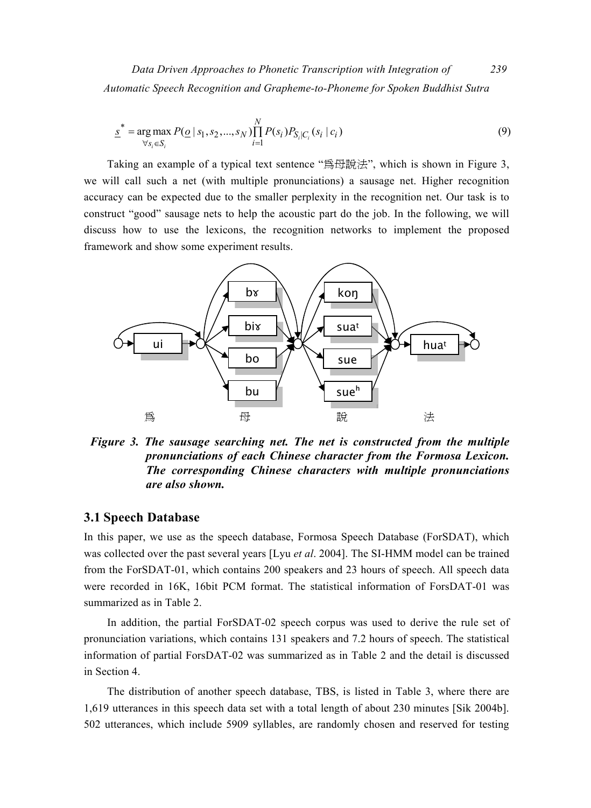*Data Driven Approaches to Phonetic Transcription with Integration of 239 Automatic Speech Recognition and Grapheme-to-Phoneme for Spoken Buddhist Sutra* 

$$
\underline{s}^* = \underset{\forall s_i \in S_i}{\arg \max} P(\underline{o} \mid s_1, s_2, \dots, s_N) \prod_{i=1}^N P(s_i) P_{S_i|C_i}(s_i \mid c_i)
$$
\n(9)

Taking an example of a typical text sentence "為母說法", which is shown in Figure 3, we will call such a net (with multiple pronunciations) a sausage net. Higher recognition accuracy can be expected due to the smaller perplexity in the recognition net. Our task is to construct "good" sausage nets to help the acoustic part do the job. In the following, we will discuss how to use the lexicons, the recognition networks to implement the proposed framework and show some experiment results.



*Figure 3. The sausage searching net. The net is constructed from the multiple pronunciations of each Chinese character from the Formosa Lexicon. The corresponding Chinese characters with multiple pronunciations are also shown.* 

#### **3.1 Speech Database**

In this paper, we use as the speech database, Formosa Speech Database (ForSDAT), which was collected over the past several years [Lyu *et al*. 2004]. The SI-HMM model can be trained from the ForSDAT-01, which contains 200 speakers and 23 hours of speech. All speech data were recorded in 16K, 16bit PCM format. The statistical information of ForsDAT-01 was summarized as in Table 2.

In addition, the partial ForSDAT-02 speech corpus was used to derive the rule set of pronunciation variations, which contains 131 speakers and 7.2 hours of speech. The statistical information of partial ForsDAT-02 was summarized as in Table 2 and the detail is discussed in Section 4.

The distribution of another speech database, TBS, is listed in Table 3, where there are 1,619 utterances in this speech data set with a total length of about 230 minutes [Sik 2004b]. 502 utterances, which include 5909 syllables, are randomly chosen and reserved for testing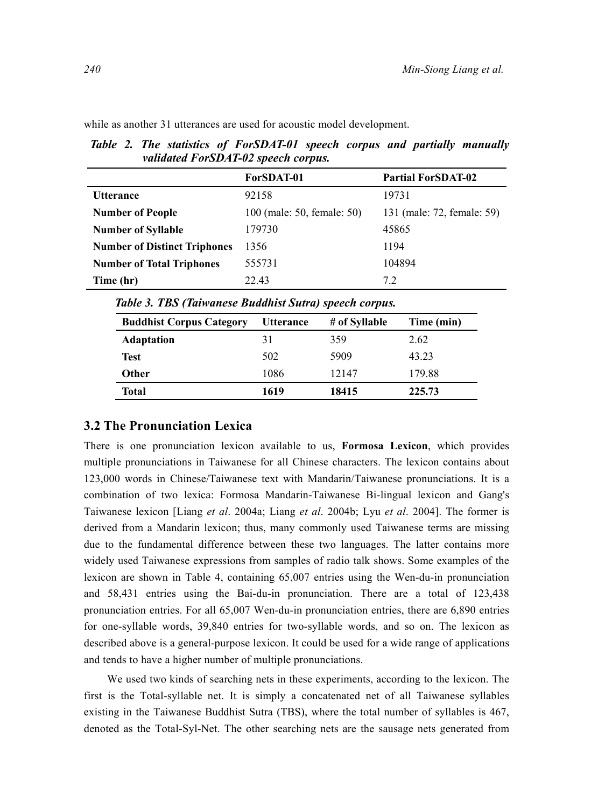*validated ForSDAT-02 speech corpus.*   **ForSDAT-01 Partial ForSDAT-02**  Utterance 92158 19731 **Number of People** 100 (male: 50, female: 50) 131 (male: 72, female: 59) **Number of Syllable 179730** 45865 **Number of Distinct Triphones** 1356 1194 **Number of Total Triphones** 555731 104894 **Time (hr)** 22.43 7.2

*Table 2. The statistics of ForSDAT-01 speech corpus and partially manually* 

while as another 31 utterances are used for acoustic model development.

*Table 3. TBS (Taiwanese Buddhist Sutra) speech corpus.* 

| <b>Buddhist Corpus Category</b> | <b>Utterance</b> | # of Syllable | Time (min) |
|---------------------------------|------------------|---------------|------------|
| <b>Adaptation</b>               | 31               | 359           | 2.62       |
| <b>Test</b>                     | 502              | 5909          | 43.23      |
| <b>Other</b>                    | 1086             | 12147         | 179.88     |
| <b>Total</b>                    | 1619             | 18415         | 225.73     |

#### **3.2 The Pronunciation Lexica**

There is one pronunciation lexicon available to us, **Formosa Lexicon**, which provides multiple pronunciations in Taiwanese for all Chinese characters. The lexicon contains about 123,000 words in Chinese/Taiwanese text with Mandarin/Taiwanese pronunciations. It is a combination of two lexica: Formosa Mandarin-Taiwanese Bi-lingual lexicon and Gang's Taiwanese lexicon [Liang *et al*. 2004a; Liang *et al*. 2004b; Lyu *et al*. 2004]. The former is derived from a Mandarin lexicon; thus, many commonly used Taiwanese terms are missing due to the fundamental difference between these two languages. The latter contains more widely used Taiwanese expressions from samples of radio talk shows. Some examples of the lexicon are shown in Table 4, containing 65,007 entries using the Wen-du-in pronunciation and 58,431 entries using the Bai-du-in pronunciation. There are a total of 123,438 pronunciation entries. For all 65,007 Wen-du-in pronunciation entries, there are 6,890 entries for one-syllable words, 39,840 entries for two-syllable words, and so on. The lexicon as described above is a general-purpose lexicon. It could be used for a wide range of applications and tends to have a higher number of multiple pronunciations.

We used two kinds of searching nets in these experiments, according to the lexicon. The first is the Total-syllable net. It is simply a concatenated net of all Taiwanese syllables existing in the Taiwanese Buddhist Sutra (TBS), where the total number of syllables is 467, denoted as the Total-Syl-Net. The other searching nets are the sausage nets generated from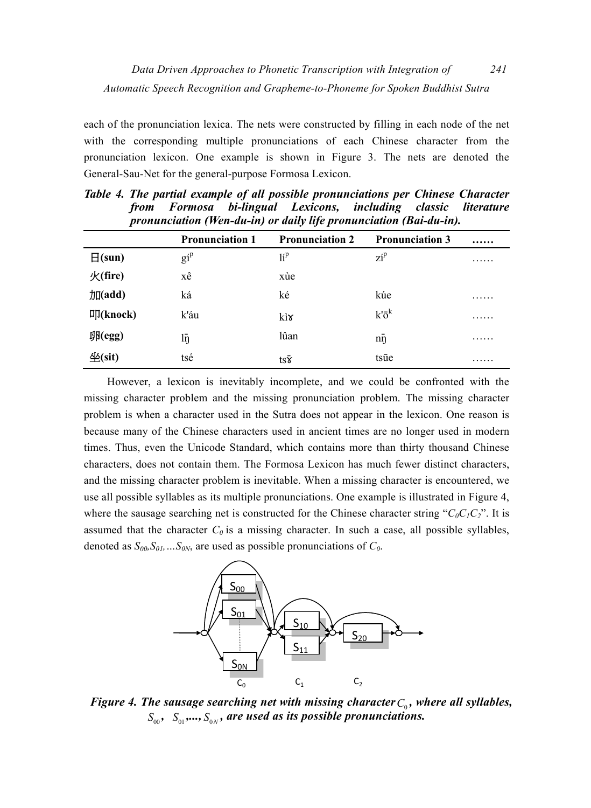each of the pronunciation lexica. The nets were constructed by filling in each node of the net with the corresponding multiple pronunciations of each Chinese character from the pronunciation lexicon. One example is shown in Figure 3. The nets are denoted the General-Sau-Net for the general-purpose Formosa Lexicon.

|                     | <b>Pronunciation 1</b> | <b>Pronunciation 2</b> | <b>Pronunciation 3</b> |   |  |  |
|---------------------|------------------------|------------------------|------------------------|---|--|--|
| $\Box$ (sun)        | $g_1^{\text{p}}$       | lí <sup>p</sup>        | $z_i$ <sup>p</sup>     | . |  |  |
| $\mathcal{K}(fire)$ | хê                     | xùe                    |                        |   |  |  |
| 加(add)              | ká                     | ké                     | kúe                    | . |  |  |
| $\Pi$ (knock)       | k'áu                   | kìx                    | $k\bar{o}^k$           | . |  |  |
| 卵(egg)              | lŋ                     | lûan                   | $n\bar{n}$             | . |  |  |
| 4(sit)              | tsé                    | $ts\bar{x}$            | tsūe                   | . |  |  |

*Table 4. The partial example of all possible pronunciations per Chinese Character from Formosa bi-lingual Lexicons, including classic literature pronunciation (Wen-du-in) or daily life pronunciation (Bai-du-in).* 

However, a lexicon is inevitably incomplete, and we could be confronted with the missing character problem and the missing pronunciation problem. The missing character problem is when a character used in the Sutra does not appear in the lexicon. One reason is because many of the Chinese characters used in ancient times are no longer used in modern times. Thus, even the Unicode Standard, which contains more than thirty thousand Chinese characters, does not contain them. The Formosa Lexicon has much fewer distinct characters, and the missing character problem is inevitable. When a missing character is encountered, we use all possible syllables as its multiple pronunciations. One example is illustrated in Figure 4, where the sausage searching net is constructed for the Chinese character string " $C_0C_1C_2$ ". It is assumed that the character  $C_0$  is a missing character. In such a case, all possible syllables, denoted as  $S_{00}$ ,  $S_{01}$ , ...,  $S_{0N}$ , are used as possible pronunciations of  $C_0$ .



*Figure 4. The sausage searching net with missing character*  $C_0$ *, where all syllables,*  $S_{\alpha}$ ,  $S_{\alpha}$ ,...,  $S_{\alpha}$ , are used as its possible pronunciations.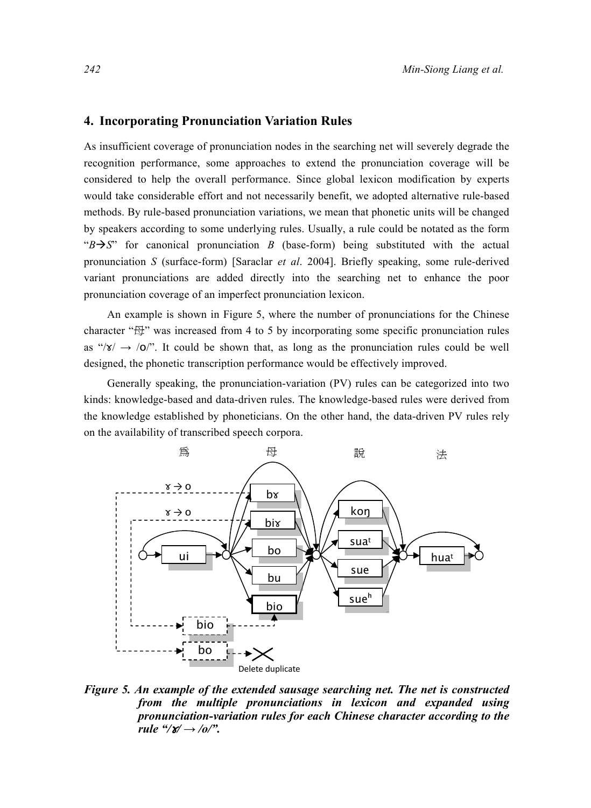#### **4. Incorporating Pronunciation Variation Rules**

As insufficient coverage of pronunciation nodes in the searching net will severely degrade the recognition performance, some approaches to extend the pronunciation coverage will be considered to help the overall performance. Since global lexicon modification by experts would take considerable effort and not necessarily benefit, we adopted alternative rule-based methods. By rule-based pronunciation variations, we mean that phonetic units will be changed by speakers according to some underlying rules. Usually, a rule could be notated as the form " $B \rightarrow S$ " for canonical pronunciation *B* (base-form) being substituted with the actual pronunciation *S* (surface-form) [Saraclar *et al*. 2004]. Briefly speaking, some rule-derived variant pronunciations are added directly into the searching net to enhance the poor pronunciation coverage of an imperfect pronunciation lexicon.

An example is shown in Figure 5, where the number of pronunciations for the Chinese character " $\oplus$ " was increased from 4 to 5 by incorporating some specific pronunciation rules as " $\sqrt{\frac{s'}{s'}} \rightarrow \sqrt{\frac{0}{n}}$ ". It could be shown that, as long as the pronunciation rules could be well designed, the phonetic transcription performance would be effectively improved.

Generally speaking, the pronunciation-variation (PV) rules can be categorized into two kinds: knowledge-based and data-driven rules. The knowledge-based rules were derived from the knowledge established by phoneticians. On the other hand, the data-driven PV rules rely on the availability of transcribed speech corpora.



*Figure 5. An example of the extended sausage searching net. The net is constructed from the multiple pronunciations in lexicon and expanded using pronunciation-variation rules for each Chinese character according to the rule "/* $x$ */*  $\rightarrow$  */o/".*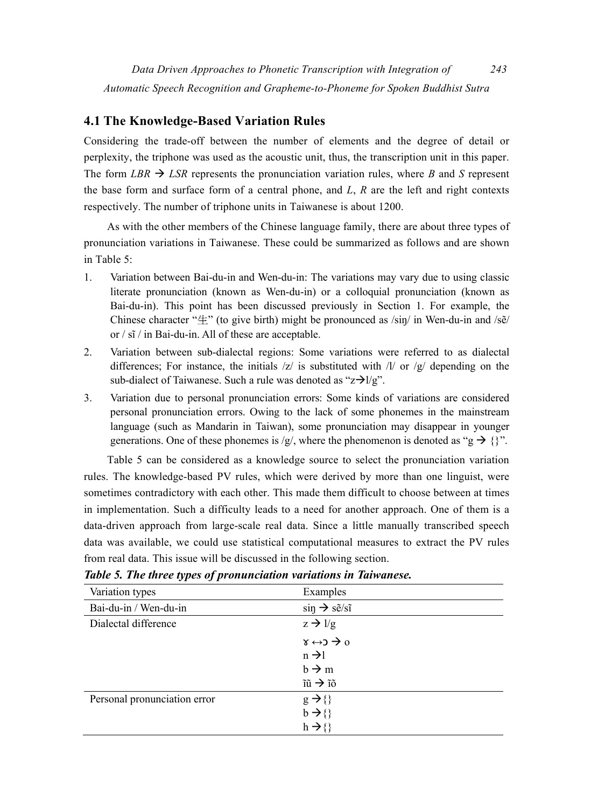# **4.1 The Knowledge-Based Variation Rules**

Considering the trade-off between the number of elements and the degree of detail or perplexity, the triphone was used as the acoustic unit, thus, the transcription unit in this paper. The form *LBR*  $\rightarrow$  *LSR* represents the pronunciation variation rules, where *B* and *S* represent the base form and surface form of a central phone, and *L*, *R* are the left and right contexts respectively. The number of triphone units in Taiwanese is about 1200.

As with the other members of the Chinese language family, there are about three types of pronunciation variations in Taiwanese. These could be summarized as follows and are shown in Table 5:

- 1. Variation between Bai-du-in and Wen-du-in: The variations may vary due to using classic literate pronunciation (known as Wen-du-in) or a colloquial pronunciation (known as Bai-du-in). This point has been discussed previously in Section 1. For example, the Chinese character " $\uparrow$ " (to give birth) might be pronounced as  $/\sin/$  in Wen-du-in and  $/\sin/$ or / sĩ / in Bai-du-in. All of these are acceptable.
- 2. Variation between sub-dialectal regions: Some variations were referred to as dialectal differences; For instance, the initials  $|z|$  is substituted with  $|l|$  or  $|z|$  depending on the sub-dialect of Taiwanese. Such a rule was denoted as " $z\rightarrow l/g$ ".
- 3. Variation due to personal pronunciation errors: Some kinds of variations are considered personal pronunciation errors. Owing to the lack of some phonemes in the mainstream language (such as Mandarin in Taiwan), some pronunciation may disappear in younger generations. One of these phonemes is /g/, where the phenomenon is denoted as "g  $\rightarrow \{\}$ ".

Table 5 can be considered as a knowledge source to select the pronunciation variation rules. The knowledge-based PV rules, which were derived by more than one linguist, were sometimes contradictory with each other. This made them difficult to choose between at times in implementation. Such a difficulty leads to a need for another approach. One of them is a data-driven approach from large-scale real data. Since a little manually transcribed speech data was available, we could use statistical computational measures to extract the PV rules from real data. This issue will be discussed in the following section.

| Variation types              | Examples                                 |
|------------------------------|------------------------------------------|
| Bai-du-in / Wen-du-in        | $\sin \rightarrow s\tilde{e}/s\tilde{e}$ |
| Dialectal difference         | $z \rightarrow 1/g$                      |
|                              | $\gamma \leftrightarrow 0$               |
|                              | $n \rightarrow 1$                        |
|                              | $b \rightarrow m$                        |
|                              | $\tilde{u} \rightarrow \tilde{v}$        |
| Personal pronunciation error | $g \rightarrow \{\}$                     |
|                              | $b \rightarrow \{\}$                     |
|                              | $h \rightarrow \{\}$                     |

*Table 5. The three types of pronunciation variations in Taiwanese.*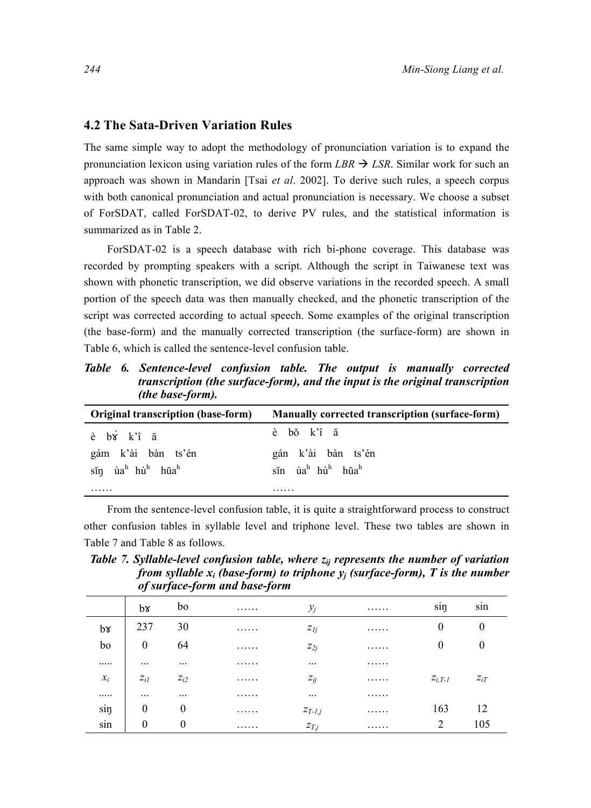#### **4.2 The Sata-Driven Variation Rules**

The same simple way to adopt the methodology of pronunciation variation is to expand the pronunciation lexicon using variation rules of the form  $\textit{LBR}$   $\rightarrow$   $\textit{LSR}$ . Similar work for such an approach was shown in Mandarin [Tsai *et al*. 2002]. To derive such rules, a speech corpus with both canonical pronunciation and actual pronunciation is necessary. We choose a subset of ForSDAT, called ForSDAT-02, to derive PV rules, and the statistical information is summarized as in Table 2.

ForSDAT-02 is a speech database with rich bi-phone coverage. This database was recorded by prompting speakers with a script. Although the script in Taiwanese text was shown with phonetic transcription, we did observe variations in the recorded speech. A small portion of the speech data was then manually checked, and the phonetic transcription of the script was corrected according to actual speech. Some examples of the original transcription (the base-form) and the manually corrected transcription (the surface-form) are shown in Table 6, which is called the sentence-level confusion table.

*Table 6. Sentence-level confusion table. The output is manually corrected transcription (the surface-form), and the input is the original transcription (the base-form).* 

| <b>Original transcription (base-form)</b>                                     | Manually corrected transcription (surface-form)                            |
|-------------------------------------------------------------------------------|----------------------------------------------------------------------------|
| $\dot{e}$ $b\dot{v}$ $k\hat{i}$ $\ddot{a}$                                    | è bǒ k'î ă                                                                 |
| gám k'ài bàn ts'én<br>$\sin$ ùa <sup>h</sup> hù <sup>h</sup> hŭa <sup>h</sup> | gán k'ài bàn ts'én<br>sĩn ùa <sup>h</sup> hù <sup>h</sup> hŭa <sup>h</sup> |
| .                                                                             | .                                                                          |

From the sentence-level confusion table, it is quite a straightforward process to construct other confusion tables in syllable level and triphone level. These two tables are shown in Table 7 and Table 8 as follows.

*Table 7. Syllable-level confusion table, where*  $z_{ij}$  *represents the number of variation from syllable*  $x_i$  *(base-form) to triphone*  $y_i$  *(surface-form), T is the number of surface-form and base-form* 

|               | $b\mathbf{x}$ | bo               | . | $y_j$       | . | $\cdot$<br>sin | $\cdot$<br>sin |
|---------------|---------------|------------------|---|-------------|---|----------------|----------------|
| $b\mathbf{v}$ | 237           | 30               | . | $z_{lj}$    | . | $\theta$       | $\theta$       |
| bo            | $\theta$      | 64               | . | $z_{2j}$    | . | $\theta$       | $\theta$       |
|               | $\cdots$      | $\cdots$         | . | $\cdots$    | . |                |                |
| $x_i$         | $z_{il}$      | $z_{i2}$         | . | $z_{ij}$    | . | $Z_{i,T-l}$    | $z_{iT}$       |
|               | $\cdots$      | $\cdots$         | . | $\cdots$    | . |                |                |
| sin           | $\theta$      | $\theta$         | . | $Z_{T-I,j}$ | . | 163            | 12             |
| sin           | $\theta$      | $\boldsymbol{0}$ | . | $z_{T,j}$   | . | 2              | 105            |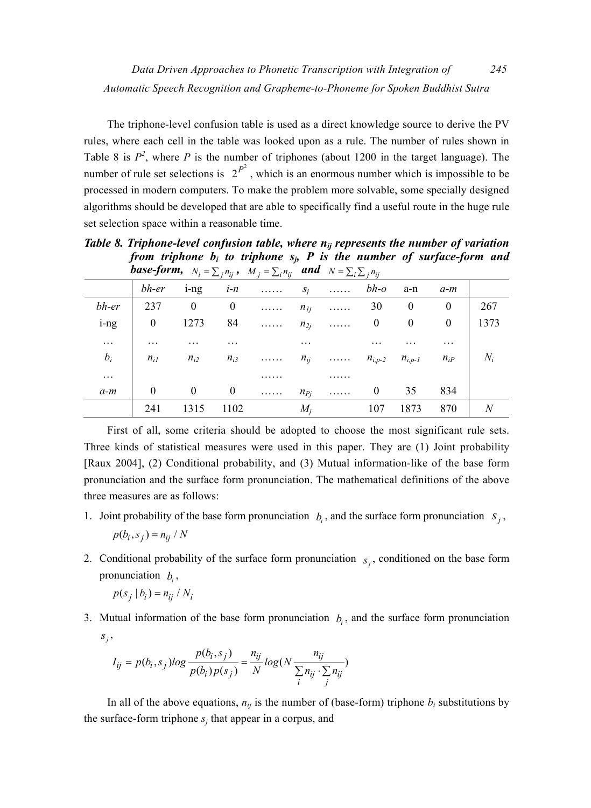The triphone-level confusion table is used as a direct knowledge source to derive the PV rules, where each cell in the table was looked upon as a rule. The number of rules shown in Table 8 is  $P^2$ , where P is the number of triphones (about 1200 in the target language). The number of rule set selections is  $2^{P^2}$ , which is an enormous number which is impossible to be processed in modern computers. To make the problem more solvable, some specially designed algorithms should be developed that are able to specifically find a useful route in the huge rule set selection space within a reasonable time.

|          |          |                  |                  | <b>Dase-jorm,</b> $N_i = \sum_j n_{ij}$ , $M_j = \sum_i n_{ij}$ and $N = \sum_i \sum_j n_{ij}$ |          |          |             |                  |          |       |
|----------|----------|------------------|------------------|------------------------------------------------------------------------------------------------|----------|----------|-------------|------------------|----------|-------|
|          | bh-er    | $1 - n$ g        | $i-n$            | .                                                                                              | $S_i$    | .        | $bh$ -o     | a-n              | $a-m$    |       |
| bh-er    | 237      | $\boldsymbol{0}$ | $\boldsymbol{0}$ | 1.1.1.1.1                                                                                      | $n_{Ij}$ | .        | 30          | $\theta$         | $\bf{0}$ | 267   |
| i-ng     | $\bf{0}$ | 1273             | 84               | $\ldots \ldots$                                                                                | $n_{2i}$ | .        | $\bf{0}$    | $\boldsymbol{0}$ | 0        | 1373  |
| $\cdots$ | .        |                  | .                |                                                                                                | .        |          |             |                  | .        |       |
| $b_i$    | $n_{iI}$ | $n_{i2}$         | $n_{i3}$         | 1.1.1.1.1                                                                                      | $n_{ij}$ | . $\sim$ | $n_{i,p-2}$ | $n_{i,p-1}$      | $n_{iP}$ | $N_i$ |
| .        |          |                  |                  |                                                                                                |          | .        |             |                  |          |       |
| $a-m$    | $\theta$ | $\boldsymbol{0}$ | $\boldsymbol{0}$ | .                                                                                              | $n_{Pj}$ | .        | $\theta$    | 35               | 834      |       |
|          | 241      | 1315             | 1102             |                                                                                                | $M_i$    |          | 107         | 1873             | 870      |       |

*Table 8. Triphone-level confusion table, where nij represents the number of variation from triphone bi to triphone sj, P is the number of surface-form and base-form,*  $N_i = \sum_j n_{ij}$ ,  $M_j = \sum_i n_{ij}$  and  $N = \sum_i \sum_j n_{ij}$ 

First of all, some criteria should be adopted to choose the most significant rule sets. Three kinds of statistical measures were used in this paper. They are (1) Joint probability [Raux 2004], (2) Conditional probability, and (3) Mutual information-like of the base form pronunciation and the surface form pronunciation. The mathematical definitions of the above three measures are as follows:

1. Joint probability of the base form pronunciation  $b_i$ , and the surface form pronunciation  $s_i$ ,

$$
p(b_i, s_j) = n_{ij} / N
$$

2. Conditional probability of the surface form pronunciation  $s_i$ , conditioned on the base form pronunciation  $b_i$ ,

$$
p(s_j | b_i) = n_{ij} / N_i
$$

3. Mutual information of the base form pronunciation  $b_i$ , and the surface form pronunciation  $S_i$ ,

$$
I_{ij} = p(b_i, s_j) \log \frac{p(b_i, s_j)}{p(b_i) p(s_j)} = \frac{n_{ij}}{N} \log (N \frac{n_{ij}}{\sum_{i} n_{ij} \cdot \sum_{j} n_{ij}})
$$

In all of the above equations,  $n_{ij}$  is the number of (base-form) triphone  $b_i$  substitutions by the surface-form triphone  $s_i$  that appear in a corpus, and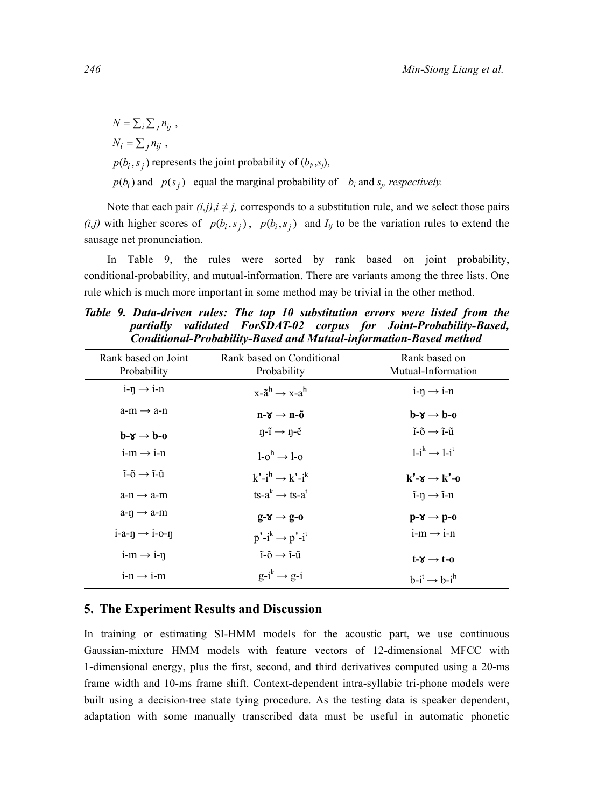$N = \sum_i \sum_j n_{ij}$  $N_i = \sum_j n_{ij}$ ,

 $p(b_i, s_j)$  represents the joint probability of  $(b_i, s_j)$ ,

 $p(b_i)$  and  $p(s_i)$  equal the marginal probability of  $b_i$  and  $s_j$ , respectively.

Note that each pair  $(i,j)$ ,  $i \neq j$ , corresponds to a substitution rule, and we select those pairs  $(i,j)$  with higher scores of  $p(b_i, s_j)$ ,  $p(b_i, s_j)$  and  $I_{ij}$  to be the variation rules to extend the sausage net pronunciation.

In Table 9, the rules were sorted by rank based on joint probability, conditional-probability, and mutual-information. There are variants among the three lists. One rule which is much more important in some method may be trivial in the other method.

*Table 9. Data-driven rules: The top 10 substitution errors were listed from the partially validated ForSDAT-02 corpus for Joint-Probability-Based, Conditional-Probability-Based and Mutual-information-Based method* 

| Rank based on Joint<br>Probability                 | Rank based on Conditional<br>Probability                      | Rank based on<br>Mutual-Information                 |
|----------------------------------------------------|---------------------------------------------------------------|-----------------------------------------------------|
| $i$ -n $\rightarrow$ i-n                           | $x-a^h \rightarrow x-a^h$                                     | $i$ -n $\rightarrow$ i-n                            |
| $a-m \rightarrow a-n$                              | $n-\gamma \rightarrow n-\tilde{0}$                            | $b-x \rightarrow b-0$                               |
| $b-x \rightarrow b-0$                              | $\eta$ -ĩ $\rightarrow$ $\eta$ -ĕ                             | $\tilde{i}$ - $\tilde{0} \rightarrow \tilde{i}$ -ũ  |
| $i-m \rightarrow i-n$                              | $1-o^h \rightarrow 1-o$                                       | $1-i^k \rightarrow 1-i^t$                           |
| $\tilde{i}$ - $\tilde{0} \rightarrow \tilde{i}$ -ũ | $k'-i' \rightarrow k'-i'$                                     | $k'$ - $x \rightarrow k'$ -0                        |
| $a-n \rightarrow a-m$                              | $ts-a^k \rightarrow ts-a^t$                                   | $\tilde{i}$ - $\eta \rightarrow \tilde{i}$ - $\eta$ |
| $a-n \rightarrow a-m$                              | $g - \gamma \rightarrow g - 0$                                | $p-\chi \rightarrow p-0$                            |
| $i-a-n \rightarrow i-o-n$                          | $p'-i^k \rightarrow p'-i^t$                                   | $i-m \rightarrow i-n$                               |
| $i-m \rightarrow i-n$                              | $\tilde{i}$ - $\tilde{0} \rightarrow \tilde{i}$ - $\tilde{u}$ | $t - \gamma \rightarrow t - 0$                      |
| $i-n \rightarrow i-m$                              | $g-i^k \rightarrow g-i$                                       | $b-i^t \rightarrow b-i^h$                           |

# **5. The Experiment Results and Discussion**

In training or estimating SI-HMM models for the acoustic part, we use continuous Gaussian-mixture HMM models with feature vectors of 12-dimensional MFCC with 1-dimensional energy, plus the first, second, and third derivatives computed using a 20-ms frame width and 10-ms frame shift. Context-dependent intra-syllabic tri-phone models were built using a decision-tree state tying procedure. As the testing data is speaker dependent, adaptation with some manually transcribed data must be useful in automatic phonetic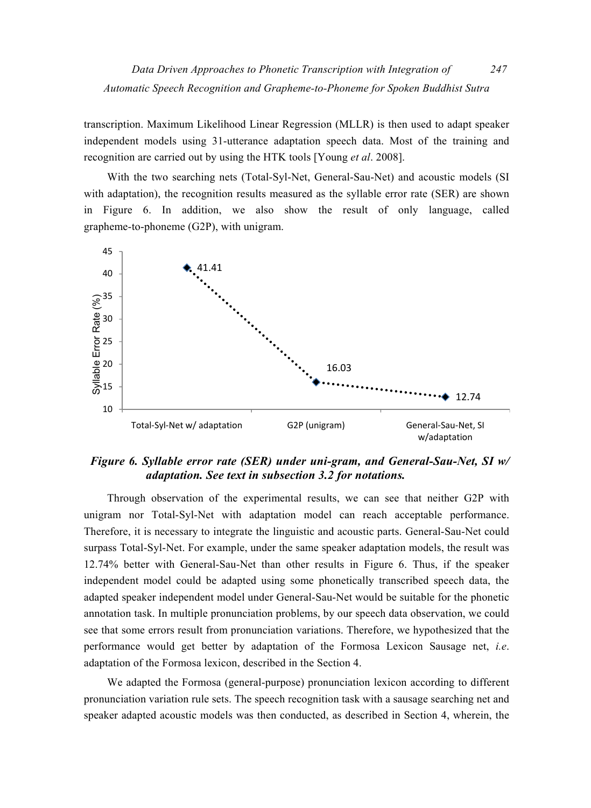*Data Driven Approaches to Phonetic Transcription with Integration of 247 Automatic Speech Recognition and Grapheme-to-Phoneme for Spoken Buddhist Sutra* 

transcription. Maximum Likelihood Linear Regression (MLLR) is then used to adapt speaker independent models using 31-utterance adaptation speech data. Most of the training and recognition are carried out by using the HTK tools [Young *et al*. 2008].

With the two searching nets (Total-Syl-Net, General-Sau-Net) and acoustic models (SI with adaptation), the recognition results measured as the syllable error rate (SER) are shown in Figure 6. In addition, we also show the result of only language, called grapheme-to-phoneme (G2P), with unigram.



# *Figure 6. Syllable error rate (SER) under uni-gram, and General-Sau-Net, SI w/ adaptation. See text in subsection 3.2 for notations.*

Through observation of the experimental results, we can see that neither G2P with unigram nor Total-Syl-Net with adaptation model can reach acceptable performance. Therefore, it is necessary to integrate the linguistic and acoustic parts. General-Sau-Net could surpass Total-Syl-Net. For example, under the same speaker adaptation models, the result was 12.74% better with General-Sau-Net than other results in Figure 6. Thus, if the speaker independent model could be adapted using some phonetically transcribed speech data, the adapted speaker independent model under General-Sau-Net would be suitable for the phonetic annotation task. In multiple pronunciation problems, by our speech data observation, we could see that some errors result from pronunciation variations. Therefore, we hypothesized that the performance would get better by adaptation of the Formosa Lexicon Sausage net, *i.e*. adaptation of the Formosa lexicon, described in the Section 4.

We adapted the Formosa (general-purpose) pronunciation lexicon according to different pronunciation variation rule sets. The speech recognition task with a sausage searching net and speaker adapted acoustic models was then conducted, as described in Section 4, wherein, the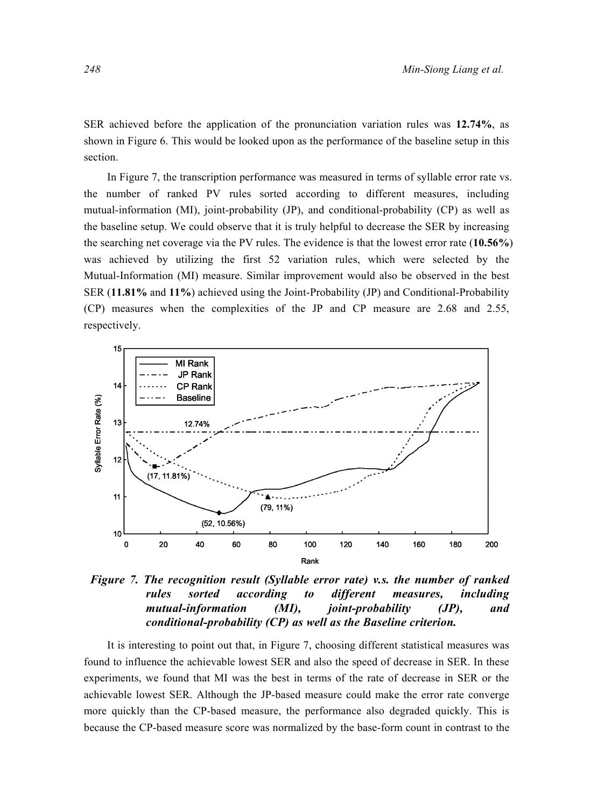SER achieved before the application of the pronunciation variation rules was **12.74%**, as shown in Figure 6. This would be looked upon as the performance of the baseline setup in this section.

In Figure 7, the transcription performance was measured in terms of syllable error rate vs. the number of ranked PV rules sorted according to different measures, including mutual-information (MI), joint-probability (JP), and conditional-probability (CP) as well as the baseline setup. We could observe that it is truly helpful to decrease the SER by increasing the searching net coverage via the PV rules. The evidence is that the lowest error rate (**10.56%**) was achieved by utilizing the first 52 variation rules, which were selected by the Mutual-Information (MI) measure. Similar improvement would also be observed in the best SER (**11.81%** and **11%**) achieved using the Joint-Probability (JP) and Conditional-Probability (CP) measures when the complexities of the JP and CP measure are 2.68 and 2.55, respectively.



*Figure 7. The recognition result (Syllable error rate) v.s. the number of ranked rules sorted according to different measures, including mutual-information (MI), joint-probability (JP), and conditional-probability (CP) as well as the Baseline criterion.* 

It is interesting to point out that, in Figure 7, choosing different statistical measures was found to influence the achievable lowest SER and also the speed of decrease in SER. In these experiments, we found that MI was the best in terms of the rate of decrease in SER or the achievable lowest SER. Although the JP-based measure could make the error rate converge more quickly than the CP-based measure, the performance also degraded quickly. This is because the CP-based measure score was normalized by the base-form count in contrast to the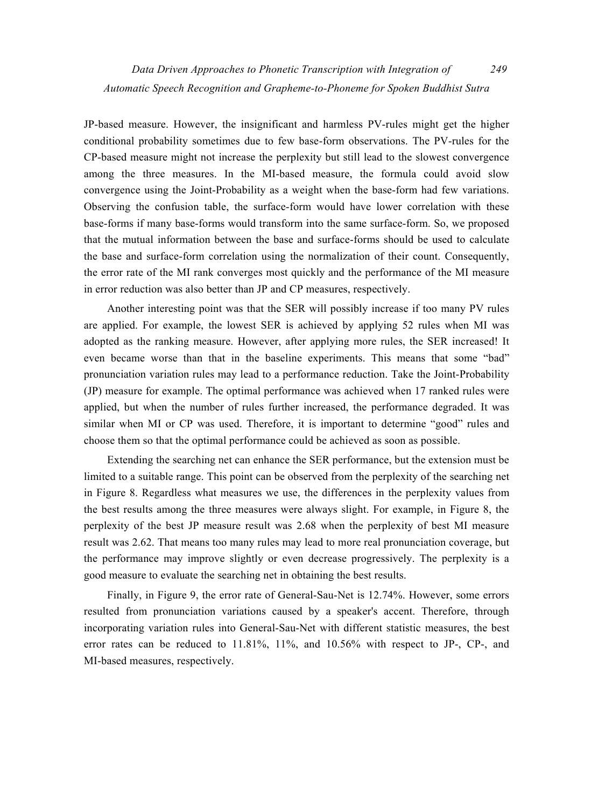JP-based measure. However, the insignificant and harmless PV-rules might get the higher conditional probability sometimes due to few base-form observations. The PV-rules for the CP-based measure might not increase the perplexity but still lead to the slowest convergence among the three measures. In the MI-based measure, the formula could avoid slow convergence using the Joint-Probability as a weight when the base-form had few variations. Observing the confusion table, the surface-form would have lower correlation with these base-forms if many base-forms would transform into the same surface-form. So, we proposed that the mutual information between the base and surface-forms should be used to calculate the base and surface-form correlation using the normalization of their count. Consequently, the error rate of the MI rank converges most quickly and the performance of the MI measure in error reduction was also better than JP and CP measures, respectively.

Another interesting point was that the SER will possibly increase if too many PV rules are applied. For example, the lowest SER is achieved by applying 52 rules when MI was adopted as the ranking measure. However, after applying more rules, the SER increased! It even became worse than that in the baseline experiments. This means that some "bad" pronunciation variation rules may lead to a performance reduction. Take the Joint-Probability (JP) measure for example. The optimal performance was achieved when 17 ranked rules were applied, but when the number of rules further increased, the performance degraded. It was similar when MI or CP was used. Therefore, it is important to determine "good" rules and choose them so that the optimal performance could be achieved as soon as possible.

Extending the searching net can enhance the SER performance, but the extension must be limited to a suitable range. This point can be observed from the perplexity of the searching net in Figure 8. Regardless what measures we use, the differences in the perplexity values from the best results among the three measures were always slight. For example, in Figure 8, the perplexity of the best JP measure result was 2.68 when the perplexity of best MI measure result was 2.62. That means too many rules may lead to more real pronunciation coverage, but the performance may improve slightly or even decrease progressively. The perplexity is a good measure to evaluate the searching net in obtaining the best results.

Finally, in Figure 9, the error rate of General-Sau-Net is 12.74%. However, some errors resulted from pronunciation variations caused by a speaker's accent. Therefore, through incorporating variation rules into General-Sau-Net with different statistic measures, the best error rates can be reduced to 11.81%, 11%, and 10.56% with respect to JP-, CP-, and MI-based measures, respectively.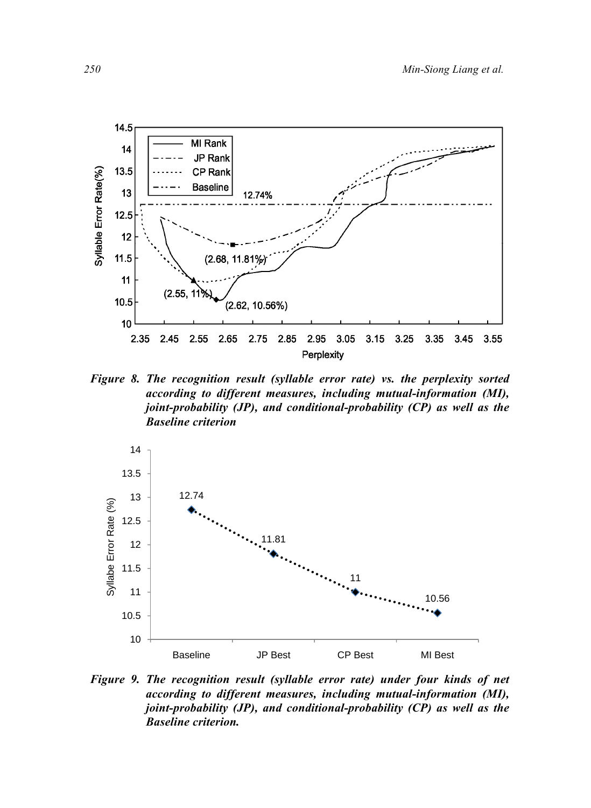

*Figure 8. The recognition result (syllable error rate) vs. the perplexity sorted according to different measures, including mutual-information (MI), joint-probability (JP), and conditional-probability (CP) as well as the Baseline criterion* 



*Figure 9. The recognition result (syllable error rate) under four kinds of net according to different measures, including mutual-information (MI), joint-probability (JP), and conditional-probability (CP) as well as the Baseline criterion.*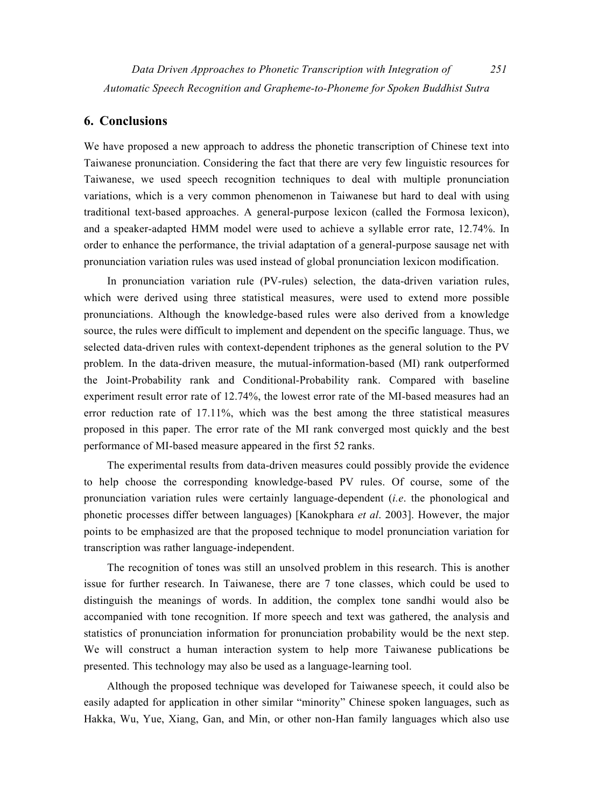# **6. Conclusions**

We have proposed a new approach to address the phonetic transcription of Chinese text into Taiwanese pronunciation. Considering the fact that there are very few linguistic resources for Taiwanese, we used speech recognition techniques to deal with multiple pronunciation variations, which is a very common phenomenon in Taiwanese but hard to deal with using traditional text-based approaches. A general-purpose lexicon (called the Formosa lexicon), and a speaker-adapted HMM model were used to achieve a syllable error rate, 12.74%. In order to enhance the performance, the trivial adaptation of a general-purpose sausage net with pronunciation variation rules was used instead of global pronunciation lexicon modification.

In pronunciation variation rule (PV-rules) selection, the data-driven variation rules, which were derived using three statistical measures, were used to extend more possible pronunciations. Although the knowledge-based rules were also derived from a knowledge source, the rules were difficult to implement and dependent on the specific language. Thus, we selected data-driven rules with context-dependent triphones as the general solution to the PV problem. In the data-driven measure, the mutual-information-based (MI) rank outperformed the Joint-Probability rank and Conditional-Probability rank. Compared with baseline experiment result error rate of 12.74%, the lowest error rate of the MI-based measures had an error reduction rate of 17.11%, which was the best among the three statistical measures proposed in this paper. The error rate of the MI rank converged most quickly and the best performance of MI-based measure appeared in the first 52 ranks.

The experimental results from data-driven measures could possibly provide the evidence to help choose the corresponding knowledge-based PV rules. Of course, some of the pronunciation variation rules were certainly language-dependent (*i.e*. the phonological and phonetic processes differ between languages) [Kanokphara *et al*. 2003]. However, the major points to be emphasized are that the proposed technique to model pronunciation variation for transcription was rather language-independent.

The recognition of tones was still an unsolved problem in this research. This is another issue for further research. In Taiwanese, there are 7 tone classes, which could be used to distinguish the meanings of words. In addition, the complex tone sandhi would also be accompanied with tone recognition. If more speech and text was gathered, the analysis and statistics of pronunciation information for pronunciation probability would be the next step. We will construct a human interaction system to help more Taiwanese publications be presented. This technology may also be used as a language-learning tool.

Although the proposed technique was developed for Taiwanese speech, it could also be easily adapted for application in other similar "minority" Chinese spoken languages, such as Hakka, Wu, Yue, Xiang, Gan, and Min, or other non-Han family languages which also use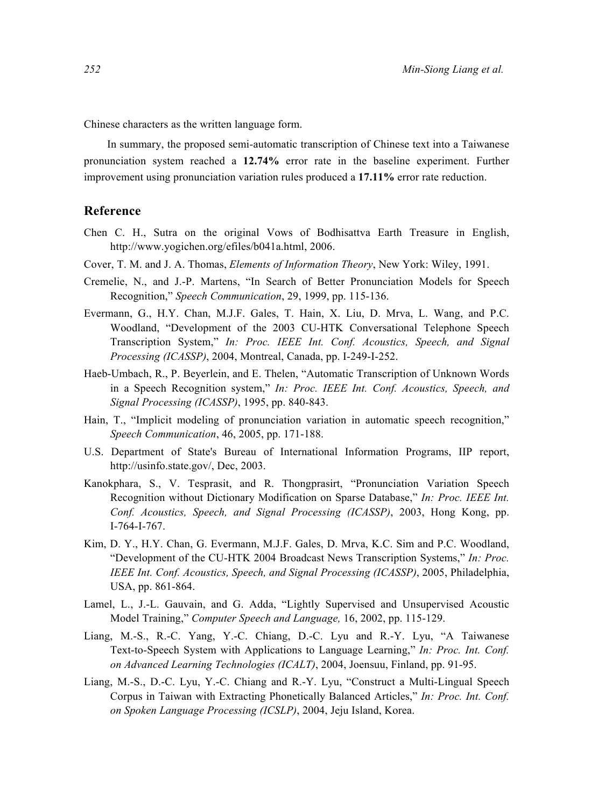Chinese characters as the written language form.

In summary, the proposed semi-automatic transcription of Chinese text into a Taiwanese pronunciation system reached a **12.74%** error rate in the baseline experiment. Further improvement using pronunciation variation rules produced a **17.11%** error rate reduction.

#### **Reference**

- Chen C. H., Sutra on the original Vows of Bodhisattva Earth Treasure in English, http://www.yogichen.org/efiles/b041a.html, 2006.
- Cover, T. M. and J. A. Thomas, *Elements of Information Theory*, New York: Wiley, 1991.
- Cremelie, N., and J.-P. Martens, "In Search of Better Pronunciation Models for Speech Recognition," *Speech Communication*, 29, 1999, pp. 115-136.
- Evermann, G., H.Y. Chan, M.J.F. Gales, T. Hain, X. Liu, D. Mrva, L. Wang, and P.C. Woodland, "Development of the 2003 CU-HTK Conversational Telephone Speech Transcription System," *In: Proc. IEEE Int. Conf. Acoustics, Speech, and Signal Processing (ICASSP)*, 2004, Montreal, Canada, pp. I-249-I-252.
- Haeb-Umbach, R., P. Beyerlein, and E. Thelen, "Automatic Transcription of Unknown Words in a Speech Recognition system," *In: Proc. IEEE Int. Conf. Acoustics, Speech, and Signal Processing (ICASSP)*, 1995, pp. 840-843.
- Hain, T., "Implicit modeling of pronunciation variation in automatic speech recognition," *Speech Communication*, 46, 2005, pp. 171-188.
- U.S. Department of State's Bureau of International Information Programs, IIP report, http://usinfo.state.gov/, Dec, 2003.
- Kanokphara, S., V. Tesprasit, and R. Thongprasirt, "Pronunciation Variation Speech Recognition without Dictionary Modification on Sparse Database," *In: Proc. IEEE Int. Conf. Acoustics, Speech, and Signal Processing (ICASSP)*, 2003, Hong Kong, pp. I-764-I-767.
- Kim, D. Y., H.Y. Chan, G. Evermann, M.J.F. Gales, D. Mrva, K.C. Sim and P.C. Woodland, "Development of the CU-HTK 2004 Broadcast News Transcription Systems," *In: Proc. IEEE Int. Conf. Acoustics, Speech, and Signal Processing (ICASSP)*, 2005, Philadelphia, USA, pp. 861-864.
- Lamel, L., J.-L. Gauvain, and G. Adda, "Lightly Supervised and Unsupervised Acoustic Model Training," *Computer Speech and Language,* 16, 2002, pp. 115-129.
- Liang, M.-S., R.-C. Yang, Y.-C. Chiang, D.-C. Lyu and R.-Y. Lyu, "A Taiwanese Text-to-Speech System with Applications to Language Learning," *In: Proc. Int. Conf. on Advanced Learning Technologies (ICALT)*, 2004, Joensuu, Finland, pp. 91-95.
- Liang, M.-S., D.-C. Lyu, Y.-C. Chiang and R.-Y. Lyu, "Construct a Multi-Lingual Speech Corpus in Taiwan with Extracting Phonetically Balanced Articles," *In: Proc. Int. Conf. on Spoken Language Processing (ICSLP)*, 2004, Jeju Island, Korea.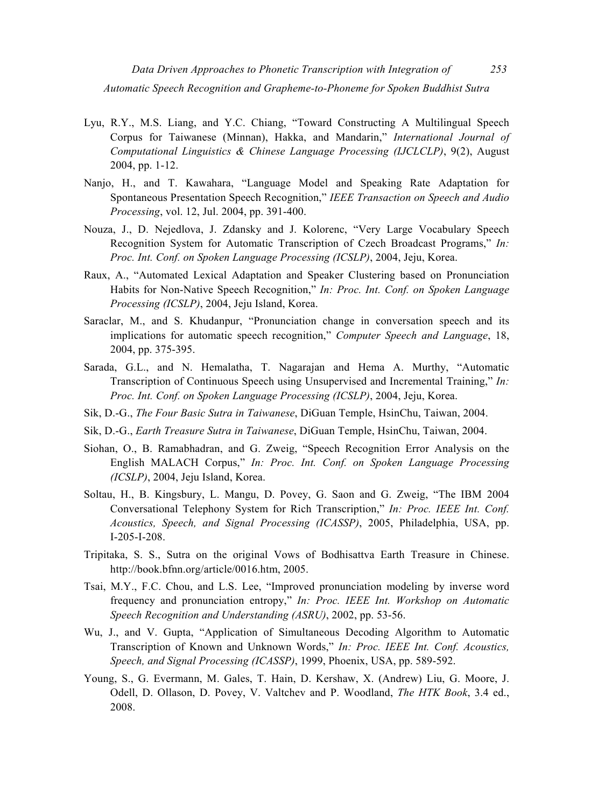- Lyu, R.Y., M.S. Liang, and Y.C. Chiang, "Toward Constructing A Multilingual Speech Corpus for Taiwanese (Minnan), Hakka, and Mandarin," *International Journal of Computational Linguistics & Chinese Language Processing (IJCLCLP)*, 9(2), August 2004, pp. 1-12.
- Nanjo, H., and T. Kawahara, "Language Model and Speaking Rate Adaptation for Spontaneous Presentation Speech Recognition," *IEEE Transaction on Speech and Audio Processing*, vol. 12, Jul. 2004, pp. 391-400.
- Nouza, J., D. Nejedlova, J. Zdansky and J. Kolorenc, "Very Large Vocabulary Speech Recognition System for Automatic Transcription of Czech Broadcast Programs," *In: Proc. Int. Conf. on Spoken Language Processing (ICSLP)*, 2004, Jeju, Korea.
- Raux, A., "Automated Lexical Adaptation and Speaker Clustering based on Pronunciation Habits for Non-Native Speech Recognition," *In: Proc. Int. Conf. on Spoken Language Processing (ICSLP)*, 2004, Jeju Island, Korea.
- Saraclar, M., and S. Khudanpur, "Pronunciation change in conversation speech and its implications for automatic speech recognition," *Computer Speech and Language*, 18, 2004, pp. 375-395.
- Sarada, G.L., and N. Hemalatha, T. Nagarajan and Hema A. Murthy, "Automatic Transcription of Continuous Speech using Unsupervised and Incremental Training," *In: Proc. Int. Conf. on Spoken Language Processing (ICSLP)*, 2004, Jeju, Korea.
- Sik, D.-G., *The Four Basic Sutra in Taiwanese*, DiGuan Temple, HsinChu, Taiwan, 2004.
- Sik, D.-G., *Earth Treasure Sutra in Taiwanese*, DiGuan Temple, HsinChu, Taiwan, 2004.
- Siohan, O., B. Ramabhadran, and G. Zweig, "Speech Recognition Error Analysis on the English MALACH Corpus," *In: Proc. Int. Conf. on Spoken Language Processing (ICSLP)*, 2004, Jeju Island, Korea.
- Soltau, H., B. Kingsbury, L. Mangu, D. Povey, G. Saon and G. Zweig, "The IBM 2004 Conversational Telephony System for Rich Transcription," *In: Proc. IEEE Int. Conf. Acoustics, Speech, and Signal Processing (ICASSP)*, 2005, Philadelphia, USA, pp. I-205-I-208.
- Tripitaka, S. S., Sutra on the original Vows of Bodhisattva Earth Treasure in Chinese. http://book.bfnn.org/article/0016.htm, 2005.
- Tsai, M.Y., F.C. Chou, and L.S. Lee, "Improved pronunciation modeling by inverse word frequency and pronunciation entropy," *In: Proc. IEEE Int. Workshop on Automatic Speech Recognition and Understanding (ASRU)*, 2002, pp. 53-56.
- Wu, J., and V. Gupta, "Application of Simultaneous Decoding Algorithm to Automatic Transcription of Known and Unknown Words," *In: Proc. IEEE Int. Conf. Acoustics, Speech, and Signal Processing (ICASSP)*, 1999, Phoenix, USA, pp. 589-592.
- Young, S., G. Evermann, M. Gales, T. Hain, D. Kershaw, X. (Andrew) Liu, G. Moore, J. Odell, D. Ollason, D. Povey, V. Valtchev and P. Woodland, *The HTK Book*, 3.4 ed., 2008.